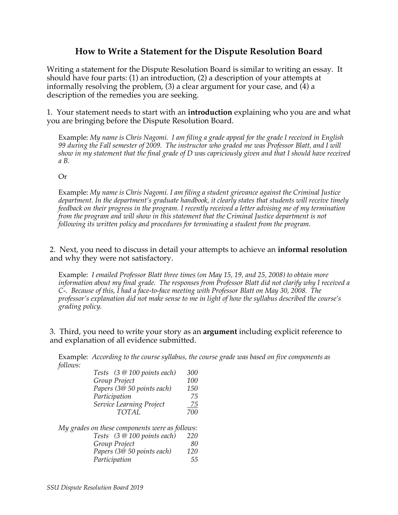## **How to Write a Statement for the Dispute Resolution Board**

Writing a statement for the Dispute Resolution Board is similar to writing an essay. It should have four parts: (1) an introduction, (2) a description of your attempts at informally resolving the problem,  $(3)$  a clear argument for your case, and  $(\overline{4})$  a description of the remedies you are seeking.

1. Your statement needs to start with an **introduction** explaining who you are and what you are bringing before the Dispute Resolution Board.

Example: *My name is Chris Nagomi. I am filing a grade appeal for the grade I received in English 99 during the Fall semester of 2009. The instructor who graded me was Professor Blatt, and I will show in my statement that the final grade of D was capriciously given and that I should have received a B.*

## Or

Example: *My name is Chris Nagomi. I am filing a student grievance against the Criminal Justice department. In the department's graduate handbook, it clearly states that students will receive timely feedback on their progress in the program. I recently received a letter advising me of my termination from the program and will show in this statement that the Criminal Justice department is not following its written policy and procedures for terminating a student from the program.* 

2. Next, you need to discuss in detail your attempts to achieve an **informal resolution** and why they were not satisfactory.

Example: *I emailed Professor Blatt three times (on May 15, 19, and 25, 2008) to obtain more information about my final grade. The responses from Professor Blatt did not clarify why I received a C-. Because of this, I had a face-to-face meeting with Professor Blatt on May 30, 2008. The professor's explanation did not make sense to me in light of how the syllabus described the course's grading policy.*

3. Third, you need to write your story as an **argument** including explicit reference to and explanation of all evidence submitted.

Example: *According to the course syllabus, the course grade was based on five components as follows:* 

*My grades on these components were as follows: Tests (3 @ 100 points each) 220 Group Project 80 Papers (3@ 50 points each) 120 Participation 55*